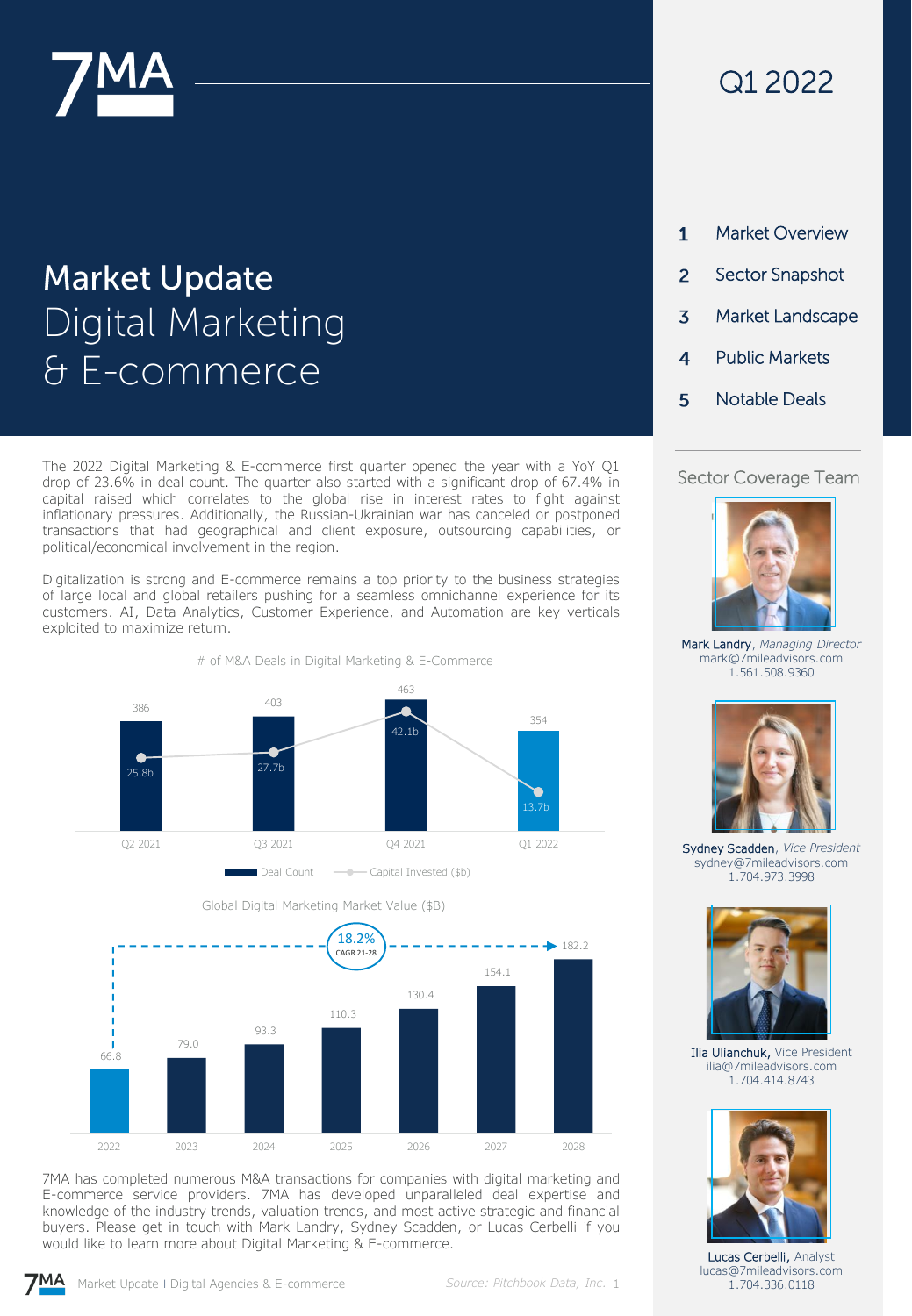

# **Market Update** Digital Marketing & E-commerce

The 2022 Digital Marketing & E-commerce first quarter opened the year with a YoY Q1 drop of 23.6% in deal count. The quarter also started with a significant drop of 67.4% in capital raised which correlates to the global rise in interest rates to fight against inflationary pressures. Additionally, the Russian-Ukrainian war has canceled or postponed transactions that had geographical and client exposure, outsourcing capabilities, or political/economical involvement in the region.

Digitalization is strong and E-commerce remains a top priority to the business strategies of large local and global retailers pushing for a seamless omnichannel experience for its customers. AI, Data Analytics, Customer Experience, and Automation are key verticals exploited to maximize return.





7MA has completed numerous M&A transactions for companies with digital marketing and E-commerce service providers. 7MA has developed unparalleled deal expertise and knowledge of the industry trends, valuation trends, and most active strategic and financial buyers. Please get in touch with Mark Landry, Sydney Scadden, or Lucas Cerbelli if you would like to learn more about Digital Marketing & E-commerce.

## Q1 2022

| 1 | Market Overview        |
|---|------------------------|
| 2 | <b>Sector Snapshot</b> |
| 3 | Market Landscape       |
| 4 | Public Markets         |
| 5 | Notable Deals          |
|   |                        |

#### Sector Coverage Team



Mark Landry, *Managing Director* mark@7mileadvisors.com 1.561.508.9360



Sydney Scadden, *Vice President* sydney@7mileadvisors.com 1.704.973.3998



Ilia Ulianchuk, Vice President ilia@7mileadvisors.com 1.704.414.8743



Lucas Cerbelli, Analyst lucas@7mileadvisors.com 1.704.336.0118

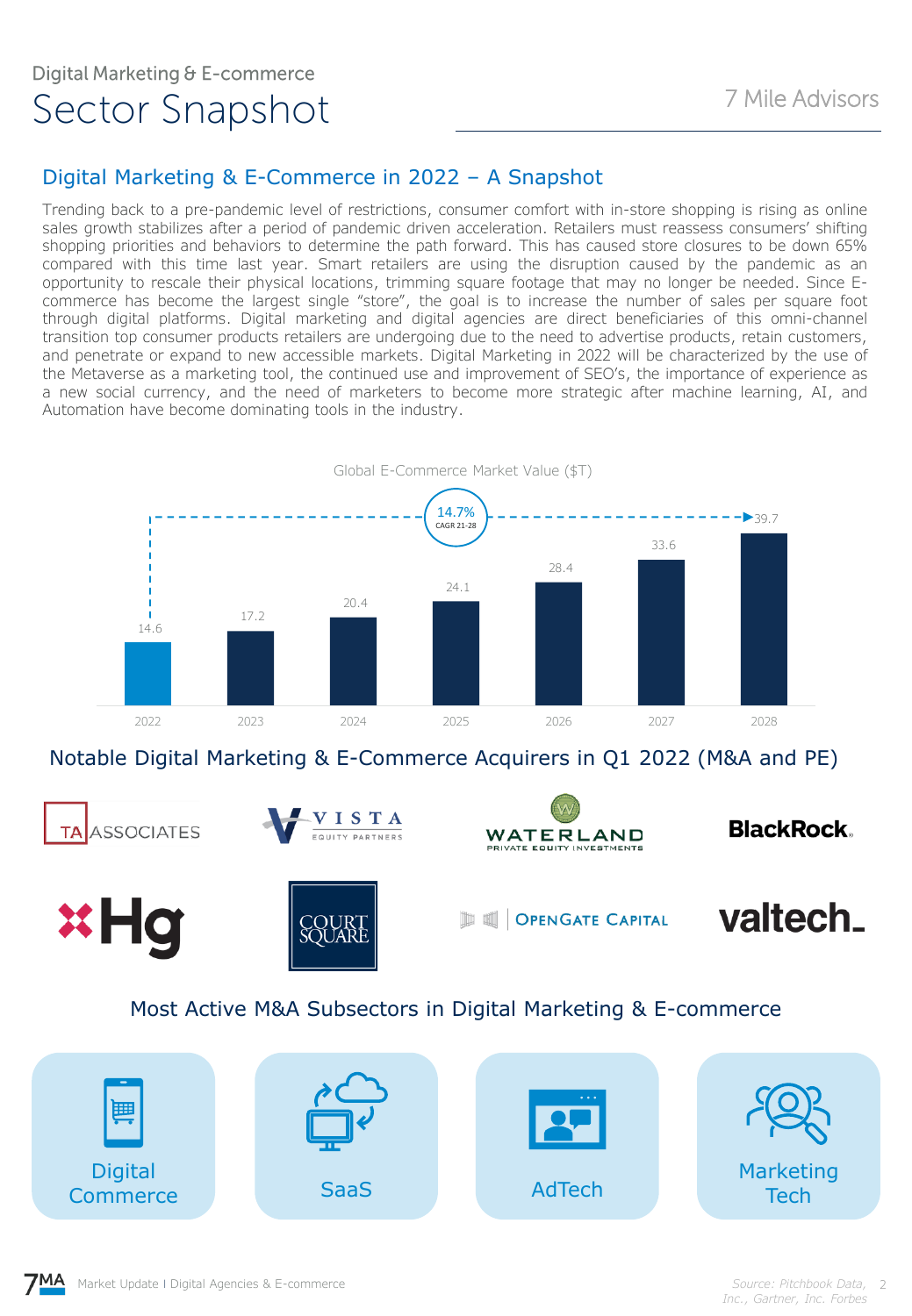#### Digital Marketing & E-Commerce in 2022 – A Snapshot

Trending back to a pre-pandemic level of restrictions, consumer comfort with in-store shopping is rising as online sales growth stabilizes after a period of pandemic driven acceleration. Retailers must reassess consumers' shifting shopping priorities and behaviors to determine the path forward. This has caused store closures to be down 65% compared with this time last year. Smart retailers are using the disruption caused by the pandemic as an opportunity to rescale their physical locations, trimming square footage that may no longer be needed. Since Ecommerce has become the largest single "store", the goal is to increase the number of sales per square foot through digital platforms. Digital marketing and digital agencies are direct beneficiaries of this omni-channel transition top consumer products retailers are undergoing due to the need to advertise products, retain customers, and penetrate or expand to new accessible markets. Digital Marketing in 2022 will be characterized by the use of the Metaverse as a marketing tool, the continued use and improvement of SEO's, the importance of experience as a new social currency, and the need of marketers to become more strategic after machine learning, AI, and Automation have become dominating tools in the industry.



Notable Digital Marketing & E-Commerce Acquirers in Q1 2022 (M&A and PE)



#### Most Active M&A Subsectors in Digital Marketing & E-commerce

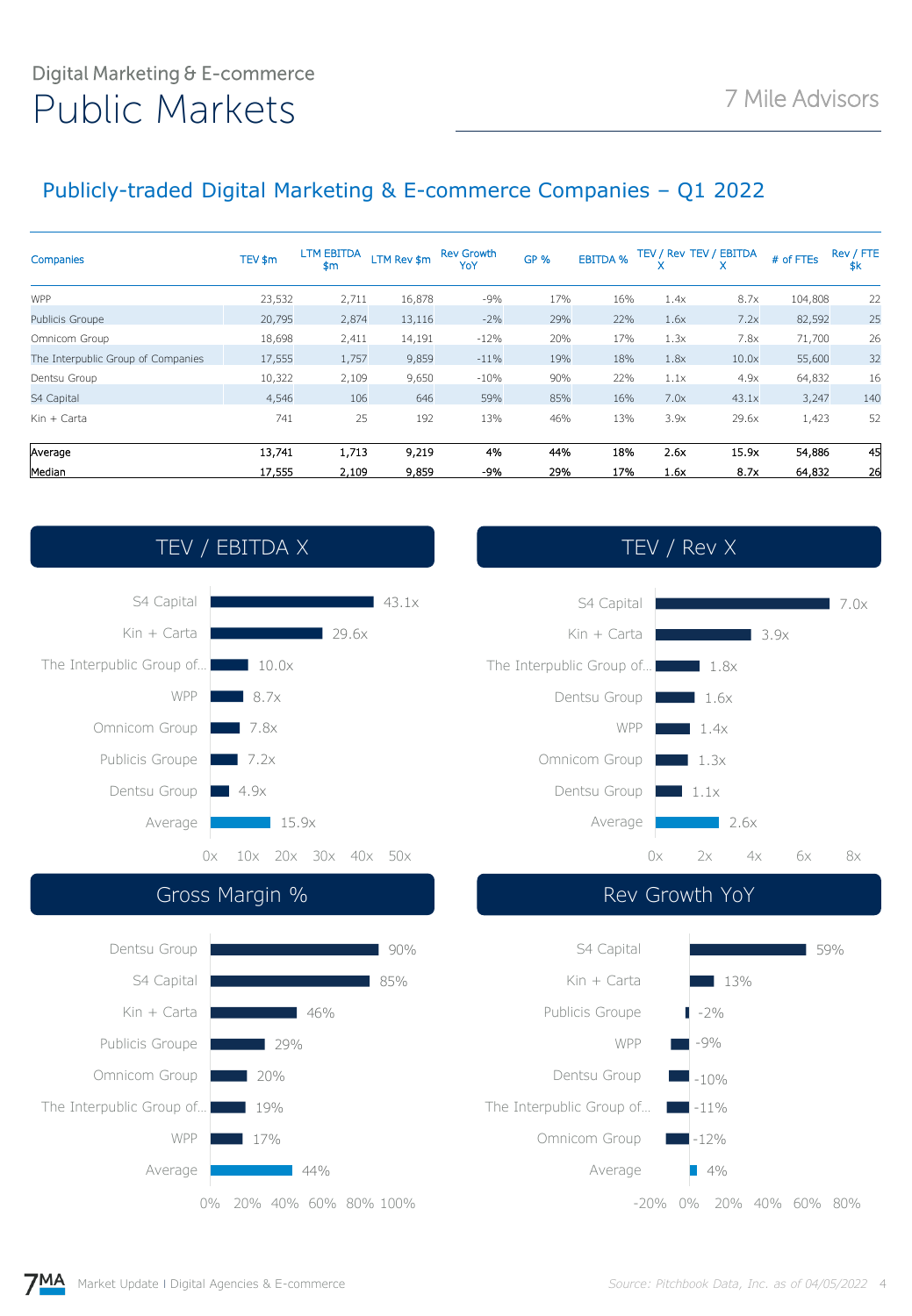## Digital Marketing & E-commerce Public Markets 7 Mile Advisors

### Publicly-traded Digital Marketing & E-commerce Companies – Q1 2022

| Companies                          | TEV \$m | <b>LTM EBITDA</b><br>\$m | LTM Rev \$m | <b>Rev Growth</b><br>YoY | <b>GP %</b> | <b>EBITDA %</b> |      | TEV / Rev TEV / EBITDA | # of FTEs | Rev / FTE<br>\$k |
|------------------------------------|---------|--------------------------|-------------|--------------------------|-------------|-----------------|------|------------------------|-----------|------------------|
| <b>WPP</b>                         | 23,532  | 2,711                    | 16,878      | $-9%$                    | 17%         | 16%             | 1.4x | 8.7x                   | 104,808   | 22               |
| Publicis Groupe                    | 20,795  | 2,874                    | 13,116      | $-2%$                    | 29%         | 22%             | 1.6x | 7.2x                   | 82,592    | 25               |
| Omnicom Group                      | 18,698  | 2,411                    | 14,191      | $-12%$                   | 20%         | 17%             | 1.3x | 7.8x                   | 71,700    | 26               |
| The Interpublic Group of Companies | 17,555  | 1,757                    | 9,859       | $-11%$                   | 19%         | 18%             | 1.8x | 10.0x                  | 55,600    | 32               |
| Dentsu Group                       | 10,322  | 2,109                    | 9,650       | $-10%$                   | 90%         | 22%             | 1.1x | 4.9x                   | 64,832    | 16               |
| S4 Capital                         | 4,546   | 106                      | 646         | 59%                      | 85%         | 16%             | 7.0x | 43.1x                  | 3,247     | 140              |
| $Kin + Carta$                      | 741     | 25                       | 192         | 13%                      | 46%         | 13%             | 3.9x | 29.6x                  | 1,423     | 52               |
| Average                            | 13,741  | 1,713                    | 9,219       | 4%                       | 44%         | 18%             | 2.6x | 15.9x                  | 54,886    | 45               |
| Median                             | 17,555  | 2,109                    | 9,859       | -9%                      | 29%         | 17%             | 1.6x | 8.7x                   | 64,832    | 26               |

## TEV / EBITDA X TEV / Rev X







#### Gross Margin % 8 and 100 million of the Rev Growth YoY



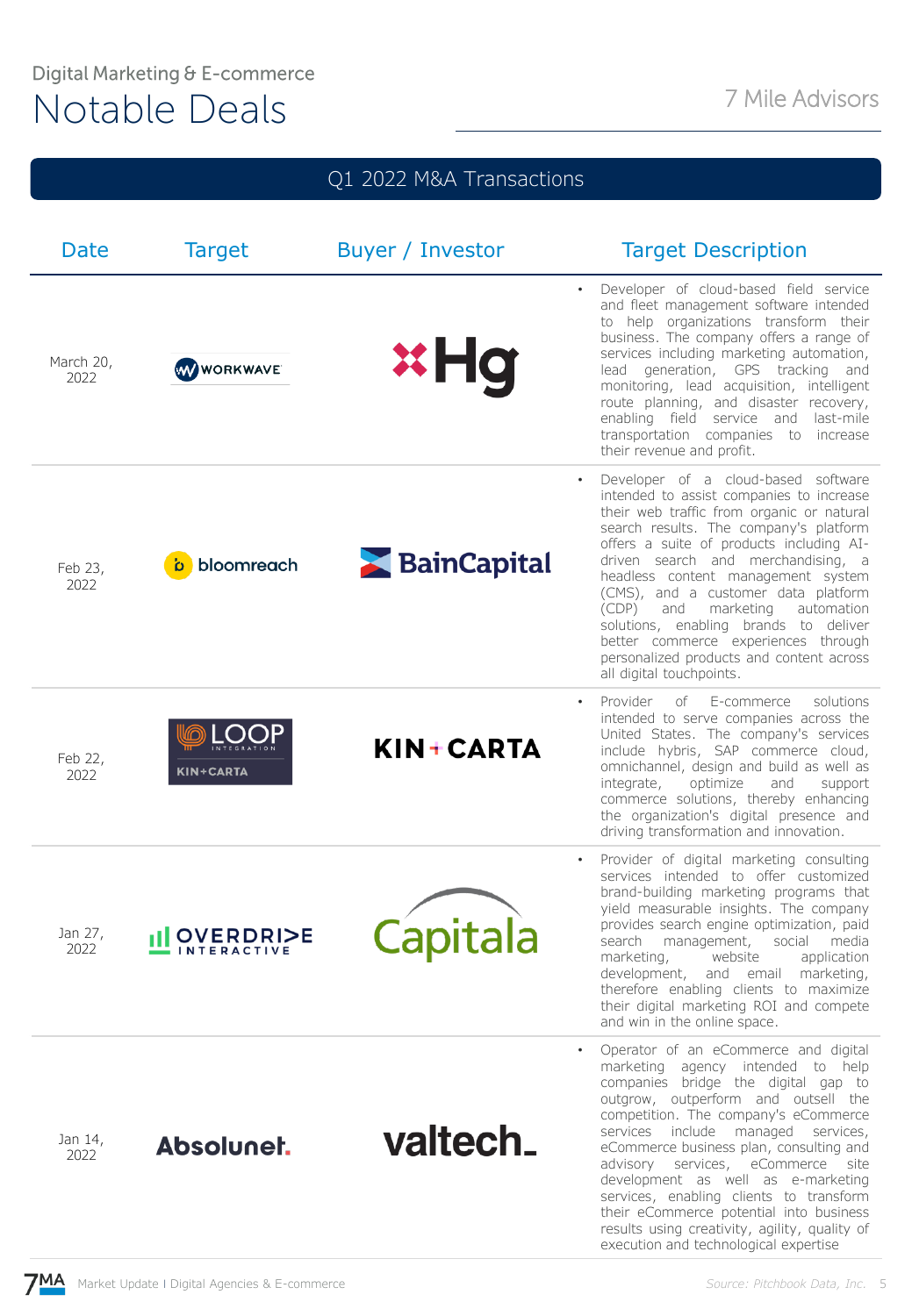## Digital Marketing & E-commerce Notable Deals<br>
Notable Deals

| Q1 2022 M&A Transactions |                     |                  |                                                                                                                                                                                                                                                                                                                                                                                                                                                                                                                                             |  |  |  |  |  |
|--------------------------|---------------------|------------------|---------------------------------------------------------------------------------------------------------------------------------------------------------------------------------------------------------------------------------------------------------------------------------------------------------------------------------------------------------------------------------------------------------------------------------------------------------------------------------------------------------------------------------------------|--|--|--|--|--|
| Date                     | <b>Target</b>       | Buyer / Investor | <b>Target Description</b>                                                                                                                                                                                                                                                                                                                                                                                                                                                                                                                   |  |  |  |  |  |
| March 20,<br>2022        | <b>WWWORKWAVE</b>   | <b>xHg</b>       | Developer of cloud-based field service<br>and fleet management software intended<br>to help organizations transform their<br>business. The company offers a range of<br>services including marketing automation,<br>generation, GPS tracking and<br>lead<br>monitoring, lead acquisition, intelligent<br>route planning, and disaster recovery,<br>enabling field service and last-mile<br>transportation companies to increase<br>their revenue and profit.                                                                                |  |  |  |  |  |
| Feb 23,<br>2022          | bloomreach          | BainCapital      | Developer of a cloud-based software<br>intended to assist companies to increase<br>their web traffic from organic or natural<br>search results. The company's platform<br>offers a suite of products including AI-<br>driven search and merchandising, a<br>headless content management system<br>(CMS), and a customer data platform<br>marketing<br>automation<br>(CDP)<br>and<br>solutions, enabling brands to deliver<br>better commerce experiences through<br>personalized products and content across<br>all digital touchpoints.    |  |  |  |  |  |
| Feb 22,<br>2022          | <b>KIN+CARTA</b>    | KIN+CARTA        | Provider<br>of<br>E-commerce<br>solutions<br>intended to serve companies across the<br>United States. The company's services<br>include hybris, SAP commerce cloud,<br>omnichannel, design and build as well as<br>optimize<br>integrate,<br>and<br>support<br>commerce solutions, thereby enhancing<br>the organization's digital presence and<br>driving transformation and innovation.                                                                                                                                                   |  |  |  |  |  |
| Jan 27,<br>2022          | <b>OVERDRI&gt;E</b> | Capitala         | Provider of digital marketing consulting<br>$\bullet$<br>services intended to offer customized<br>brand-building marketing programs that<br>yield measurable insights. The company<br>provides search engine optimization, paid<br>media<br>search<br>management,<br>social<br>marketing,<br>website<br>application<br>development,<br>and email<br>marketing,<br>therefore enabling clients to maximize<br>their digital marketing ROI and compete<br>and win in the online space.                                                         |  |  |  |  |  |
| Jan 14,<br>2022          | Absolunet.          | valtech.         | Operator of an eCommerce and digital<br>marketing agency intended to help<br>companies bridge the digital gap to<br>outgrow, outperform and outsell the<br>competition. The company's eCommerce<br>services include managed services,<br>eCommerce business plan, consulting and<br>advisory services, eCommerce site<br>development as well as e-marketing<br>services, enabling clients to transform<br>their eCommerce potential into business<br>results using creativity, agility, quality of<br>execution and technological expertise |  |  |  |  |  |